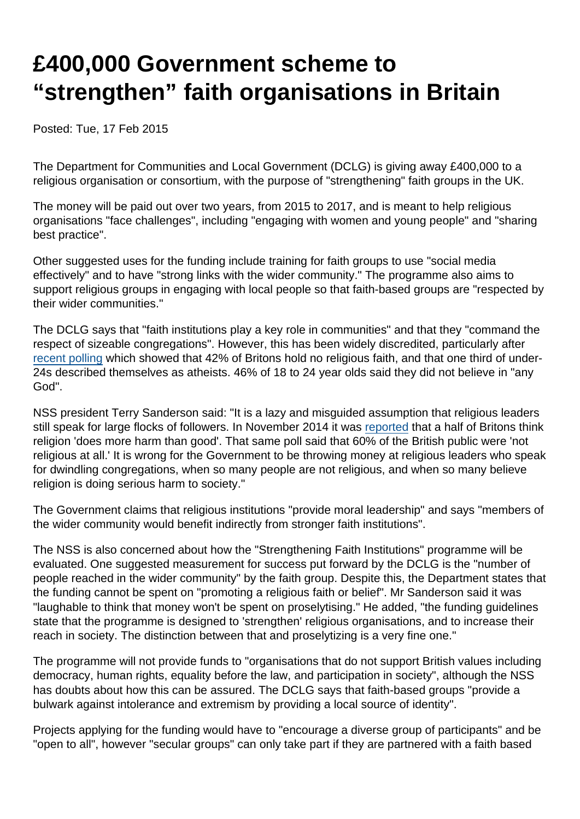# £400,000 Government scheme to "strengthen" faith organisations in Britain

Posted: Tue, 17 Feb 2015

The Department for Communities and Local Government (DCLG) is giving away £400,000 to a religious organisation or consortium, with the purpose of "strengthening" faith groups in the UK.

The money will be paid out over two years, from 2015 to 2017, and is meant to help religious organisations "face challenges", including "engaging with women and young people" and "sharing best practice".

Other suggested uses for the funding include training for faith groups to use "social media effectively" and to have "strong links with the wider community." The programme also aims to support religious groups in engaging with local people so that faith-based groups are "respected by their wider communities."

The DCLG says that "faith institutions play a key role in communities" and that they "command the respect of sizeable congregations". However, this has been widely discredited, particularly after [recent polling](https://www.secularism.org.uk/news/2015/02/surge-in-atheism-amongst-young-britons-bolsters-case-for-a-secular-uk) which showed that 42% of Britons hold no religious faith, and that one third of under-24s described themselves as atheists. 46% of 18 to 24 year olds said they did not believe in "any God".

NSS president Terry Sanderson said: "It is a lazy and misguided assumption that religious leaders still speak for large flocks of followers. In November 2014 it was [reported](http://www.telegraph.co.uk/news/religion/11208845/Half-of-Britons-think-religion-does-more-harm-than-good.html) that a half of Britons think religion 'does more harm than good'. That same poll said that 60% of the British public were 'not religious at all.' It is wrong for the Government to be throwing money at religious leaders who speak for dwindling congregations, when so many people are not religious, and when so many believe religion is doing serious harm to society."

The Government claims that religious institutions "provide moral leadership" and says "members of the wider community would benefit indirectly from stronger faith institutions".

The NSS is also concerned about how the "Strengthening Faith Institutions" programme will be evaluated. One suggested measurement for success put forward by the DCLG is the "number of people reached in the wider community" by the faith group. Despite this, the Department states that the funding cannot be spent on "promoting a religious faith or belief". Mr Sanderson said it was "laughable to think that money won't be spent on proselytising." He added, "the funding guidelines state that the programme is designed to 'strengthen' religious organisations, and to increase their reach in society. The distinction between that and proselytizing is a very fine one."

The programme will not provide funds to "organisations that do not support British values including democracy, human rights, equality before the law, and participation in society", although the NSS has doubts about how this can be assured. The DCLG says that faith-based groups "provide a bulwark against intolerance and extremism by providing a local source of identity".

Projects applying for the funding would have to "encourage a diverse group of participants" and be "open to all", however "secular groups" can only take part if they are partnered with a faith based